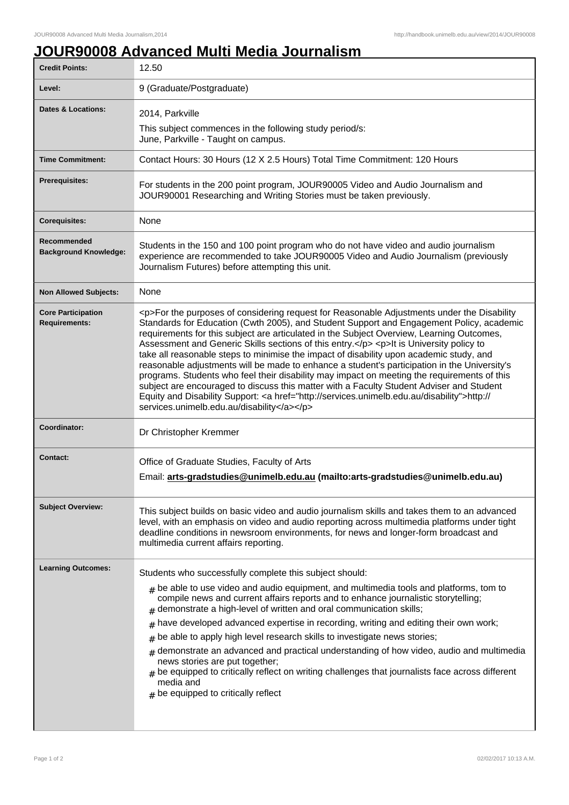## **JOUR90008 Advanced Multi Media Journalism**

| <b>Credit Points:</b>                             | 12.50                                                                                                                                                                                                                                                                                                                                                                                                                                                                                                                                                                                                                                                                                                                                                                                                                                                                                                                        |
|---------------------------------------------------|------------------------------------------------------------------------------------------------------------------------------------------------------------------------------------------------------------------------------------------------------------------------------------------------------------------------------------------------------------------------------------------------------------------------------------------------------------------------------------------------------------------------------------------------------------------------------------------------------------------------------------------------------------------------------------------------------------------------------------------------------------------------------------------------------------------------------------------------------------------------------------------------------------------------------|
| Level:                                            | 9 (Graduate/Postgraduate)                                                                                                                                                                                                                                                                                                                                                                                                                                                                                                                                                                                                                                                                                                                                                                                                                                                                                                    |
| <b>Dates &amp; Locations:</b>                     | 2014, Parkville<br>This subject commences in the following study period/s:<br>June, Parkville - Taught on campus.                                                                                                                                                                                                                                                                                                                                                                                                                                                                                                                                                                                                                                                                                                                                                                                                            |
| <b>Time Commitment:</b>                           | Contact Hours: 30 Hours (12 X 2.5 Hours) Total Time Commitment: 120 Hours                                                                                                                                                                                                                                                                                                                                                                                                                                                                                                                                                                                                                                                                                                                                                                                                                                                    |
| Prerequisites:                                    | For students in the 200 point program, JOUR90005 Video and Audio Journalism and<br>JOUR90001 Researching and Writing Stories must be taken previously.                                                                                                                                                                                                                                                                                                                                                                                                                                                                                                                                                                                                                                                                                                                                                                       |
| <b>Corequisites:</b>                              | None                                                                                                                                                                                                                                                                                                                                                                                                                                                                                                                                                                                                                                                                                                                                                                                                                                                                                                                         |
| Recommended<br><b>Background Knowledge:</b>       | Students in the 150 and 100 point program who do not have video and audio journalism<br>experience are recommended to take JOUR90005 Video and Audio Journalism (previously<br>Journalism Futures) before attempting this unit.                                                                                                                                                                                                                                                                                                                                                                                                                                                                                                                                                                                                                                                                                              |
| <b>Non Allowed Subjects:</b>                      | None                                                                                                                                                                                                                                                                                                                                                                                                                                                                                                                                                                                                                                                                                                                                                                                                                                                                                                                         |
| <b>Core Participation</b><br><b>Requirements:</b> | <p>For the purposes of considering request for Reasonable Adjustments under the Disability<br/>Standards for Education (Cwth 2005), and Student Support and Engagement Policy, academic<br/>requirements for this subject are articulated in the Subject Overview, Learning Outcomes,<br/>Assessment and Generic Skills sections of this entry.</p> <p>It is University policy to<br/>take all reasonable steps to minimise the impact of disability upon academic study, and<br/>reasonable adjustments will be made to enhance a student's participation in the University's<br/>programs. Students who feel their disability may impact on meeting the requirements of this<br/>subject are encouraged to discuss this matter with a Faculty Student Adviser and Student<br/>Equity and Disability Support: &lt; a href="http://services.unimelb.edu.au/disability"&gt;http://<br/>services.unimelb.edu.au/disability</p> |
| Coordinator:                                      | Dr Christopher Kremmer                                                                                                                                                                                                                                                                                                                                                                                                                                                                                                                                                                                                                                                                                                                                                                                                                                                                                                       |
| <b>Contact:</b>                                   | Office of Graduate Studies, Faculty of Arts<br>Email: arts-gradstudies@unimelb.edu.au (mailto: arts-gradstudies@unimelb.edu.au)                                                                                                                                                                                                                                                                                                                                                                                                                                                                                                                                                                                                                                                                                                                                                                                              |
| <b>Subject Overview:</b>                          | This subject builds on basic video and audio journalism skills and takes them to an advanced<br>level, with an emphasis on video and audio reporting across multimedia platforms under tight<br>deadline conditions in newsroom environments, for news and longer-form broadcast and<br>multimedia current affairs reporting.                                                                                                                                                                                                                                                                                                                                                                                                                                                                                                                                                                                                |
| <b>Learning Outcomes:</b>                         | Students who successfully complete this subject should:<br>$#$ be able to use video and audio equipment, and multimedia tools and platforms, tom to<br>compile news and current affairs reports and to enhance journalistic storytelling;<br>demonstrate a high-level of written and oral communication skills;<br>have developed advanced expertise in recording, writing and editing their own work;<br>#<br>be able to apply high level research skills to investigate news stories;<br>#<br>demonstrate an advanced and practical understanding of how video, audio and multimedia<br>#<br>news stories are put together;<br>$_{\text{\#}}$ be equipped to critically reflect on writing challenges that journalists face across different<br>media and<br>$#$ be equipped to critically reflect                                                                                                                         |